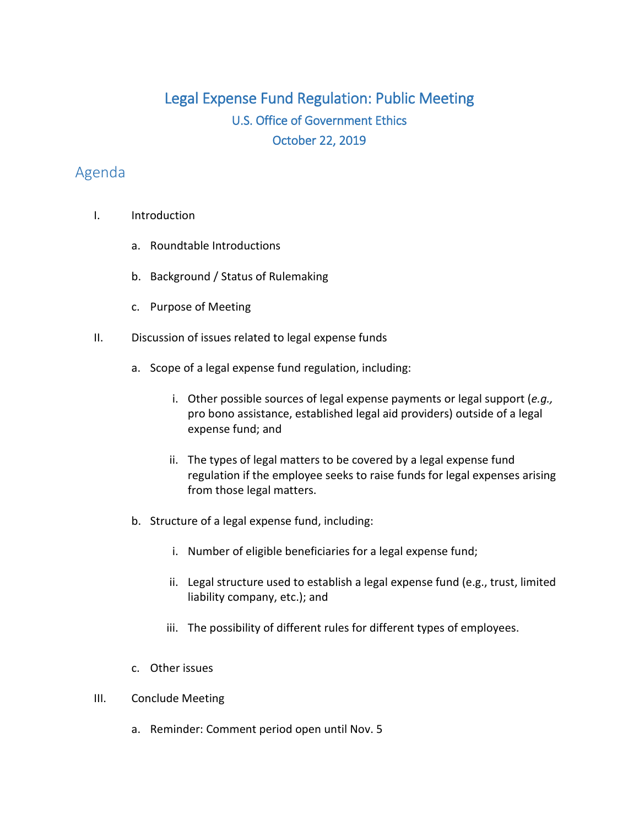## Legal Expense Fund Regulation: Public Meeting U.S. Office of Government Ethics October 22, 2019

## Agenda

- I. Introduction
	- a. Roundtable Introductions
	- b. Background / Status of Rulemaking
	- c. Purpose of Meeting
- II. Discussion of issues related to legal expense funds
	- a. Scope of a legal expense fund regulation, including:
		- i. Other possible sources of legal expense payments or legal support (*e.g.,*  pro bono assistance, established legal aid providers) outside of a legal expense fund; and
		- ii. The types of legal matters to be covered by a legal expense fund regulation if the employee seeks to raise funds for legal expenses arising from those legal matters.
	- b. Structure of a legal expense fund, including:
		- i. Number of eligible beneficiaries for a legal expense fund;
		- ii. Legal structure used to establish a legal expense fund (e.g., trust, limited liability company, etc.); and
		- iii. The possibility of different rules for different types of employees.
	- c. Other issues
- III. Conclude Meeting
	- a. Reminder: Comment period open until Nov. 5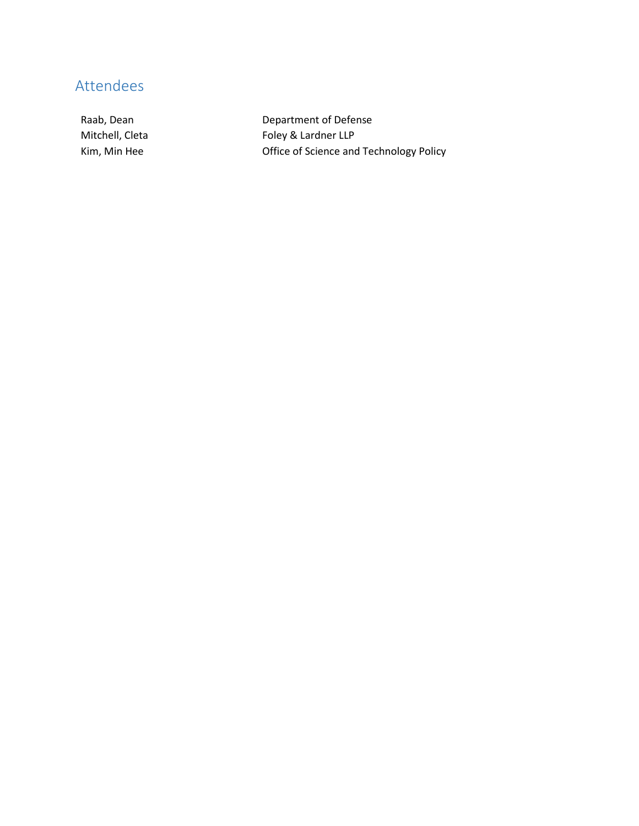## Attendees

Raab, Dean **Department of Defense** Mitchell, Cleta Foley & Lardner LLP Kim, Min Hee **Communist Contract Contract Office of Science and Technology Policy**